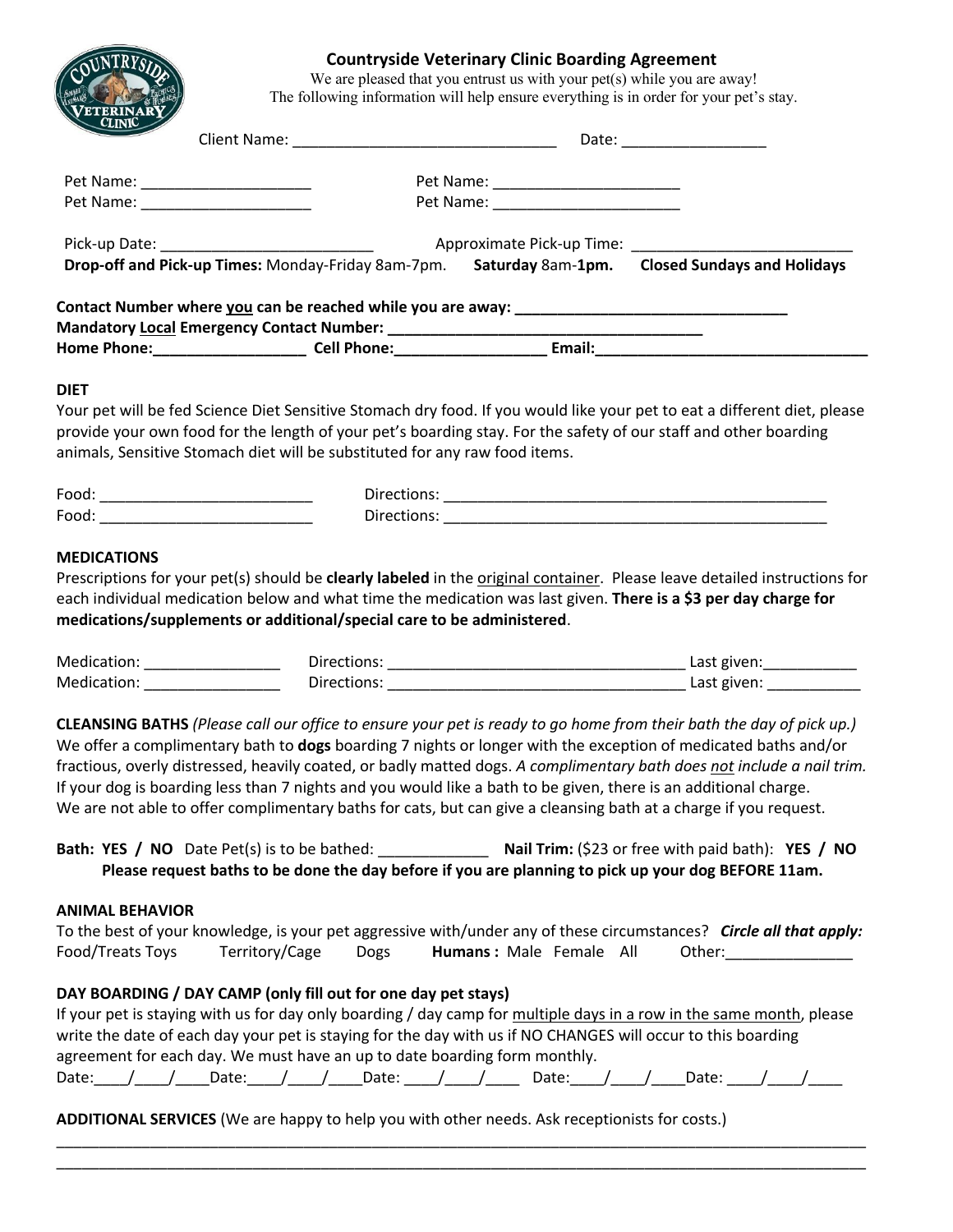# **Countryside Veterinary Clinic Boarding Agreement**

We are pleased that you entrust us with your pet(s) while you are away! The following information will help ensure everything is in order for your pet's stay.

| <b>CLINK</b> |                                                    | Date: _________________                             |                                    |  |  |
|--------------|----------------------------------------------------|-----------------------------------------------------|------------------------------------|--|--|
|              |                                                    | Pet Name: _________________________                 |                                    |  |  |
|              | Pet Name: ________________________                 |                                                     |                                    |  |  |
|              |                                                    | Approximate Pick-up Time: Approximate Pick-up Time: |                                    |  |  |
|              | Drop-off and Pick-up Times: Monday-Friday 8am-7pm. | Saturday 8am-1pm.                                   | <b>Closed Sundays and Holidays</b> |  |  |

## **DIET**

Your pet will be fed Science Diet Sensitive Stomach dry food. If you would like your pet to eat a different diet, please provide your own food for the length of your pet's boarding stay. For the safety of our staff and other boarding animals, Sensitive Stomach diet will be substituted for any raw food items.

| Enne       |  |
|------------|--|
| Enne<br>ັບ |  |

## **MEDICATIONS**

Prescriptions for your pet(s) should be **clearly labeled** in the original container. Please leave detailed instructions for each individual medication below and what time the medication was last given. **There is a \$3 per day charge for medications/supplements or additional/special care to be administered**.

| Mec | $-$<br>.<br>---<br>$ -$ |
|-----|-------------------------|
| Mea | $\sim$ $\sim$ 1<br>--   |

**CLEANSING BATHS** *(Please call our office to ensure your pet is ready to go home from their bath the day of pick up.)* We offer a complimentary bath to **dogs** boarding 7 nights or longer with the exception of medicated baths and/or fractious, overly distressed, heavily coated, or badly matted dogs. *A complimentary bath does not include a nail trim.* If your dog is boarding less than 7 nights and you would like a bath to be given, there is an additional charge. We are not able to offer complimentary baths for cats, but can give a cleansing bath at a charge if you request.

| <b>Bath: YES / NO</b> Date Pet(s) is to be bathed:                                                  | <b>Nail Trim:</b> (\$23 or free with paid bath): <b>YES</b> / <b>NO</b> |
|-----------------------------------------------------------------------------------------------------|-------------------------------------------------------------------------|
| Please request baths to be done the day before if you are planning to pick up your dog BEFORE 11am. |                                                                         |

## **ANIMAL BEHAVIOR**

| To the best of your knowledge, is your pet aggressive with/under any of these circumstances? Circle all that apply:                                                                                                                  |                |             |                         |        |  |
|--------------------------------------------------------------------------------------------------------------------------------------------------------------------------------------------------------------------------------------|----------------|-------------|-------------------------|--------|--|
| Food/Treats Toys                                                                                                                                                                                                                     | Territory/Cage | <b>Dogs</b> | Humans: Male Female All | Other: |  |
| DAY BOARDING / DAY CAMP (only fill out for one day pet stays)                                                                                                                                                                        |                |             |                         |        |  |
| If your pet is staying with us for day only boarding / day camp for multiple days in a row in the same month, please<br>write the date of each day your pet is staying for the day with us if NO CHANGES will occur to this boarding |                |             |                         |        |  |
| agreement for each day. We must have an up to date boarding form monthly.<br>Date: / / Date: / / Date: / / Date: / / Date:                                                                                                           |                |             |                         |        |  |

\_\_\_\_\_\_\_\_\_\_\_\_\_\_\_\_\_\_\_\_\_\_\_\_\_\_\_\_\_\_\_\_\_\_\_\_\_\_\_\_\_\_\_\_\_\_\_\_\_\_\_\_\_\_\_\_\_\_\_\_\_\_\_\_\_\_\_\_\_\_\_\_\_\_\_\_\_\_\_\_\_\_\_\_\_\_\_\_\_\_\_\_\_\_\_ \_\_\_\_\_\_\_\_\_\_\_\_\_\_\_\_\_\_\_\_\_\_\_\_\_\_\_\_\_\_\_\_\_\_\_\_\_\_\_\_\_\_\_\_\_\_\_\_\_\_\_\_\_\_\_\_\_\_\_\_\_\_\_\_\_\_\_\_\_\_\_\_\_\_\_\_\_\_\_\_\_\_\_\_\_\_\_\_\_\_\_\_\_\_\_

**ADDITIONAL SERVICES** (We are happy to help you with other needs. Ask receptionists for costs.)